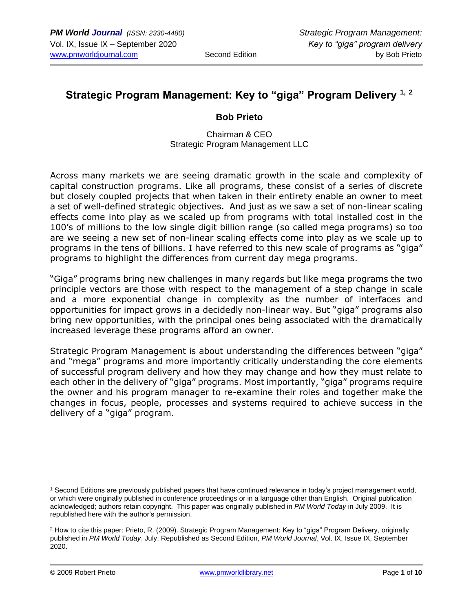# **Strategic Program Management: Key to "giga" Program Delivery 1, <sup>2</sup>**

### **Bob Prieto**

Chairman & CEO Strategic Program Management LLC

Across many markets we are seeing dramatic growth in the scale and complexity of capital construction programs. Like all programs, these consist of a series of discrete but closely coupled projects that when taken in their entirety enable an owner to meet a set of well-defined strategic objectives. And just as we saw a set of non-linear scaling effects come into play as we scaled up from programs with total installed cost in the 100's of millions to the low single digit billion range (so called mega programs) so too are we seeing a new set of non-linear scaling effects come into play as we scale up to programs in the tens of billions. I have referred to this new scale of programs as "giga" programs to highlight the differences from current day mega programs.

"Giga" programs bring new challenges in many regards but like mega programs the two principle vectors are those with respect to the management of a step change in scale and a more exponential change in complexity as the number of interfaces and opportunities for impact grows in a decidedly non-linear way. But "giga" programs also bring new opportunities, with the principal ones being associated with the dramatically increased leverage these programs afford an owner.

Strategic Program Management is about understanding the differences between "giga" and "mega" programs and more importantly critically understanding the core elements of successful program delivery and how they may change and how they must relate to each other in the delivery of "giga" programs. Most importantly, "giga" programs require the owner and his program manager to re-examine their roles and together make the changes in focus, people, processes and systems required to achieve success in the delivery of a "giga" program.

<sup>1</sup> Second Editions are previously published papers that have continued relevance in today's project management world, or which were originally published in conference proceedings or in a language other than English. Original publication acknowledged; authors retain copyright. This paper was originally published in *PM World Today* in July 2009. It is republished here with the author's permission.

<sup>&</sup>lt;sup>2</sup> How to cite this paper: Prieto, R. (2009). Strategic Program Management: Key to "giga" Program Delivery, originally published in *PM World Today*, July. Republished as Second Edition, *PM World Journal*, Vol. IX, Issue IX, September 2020.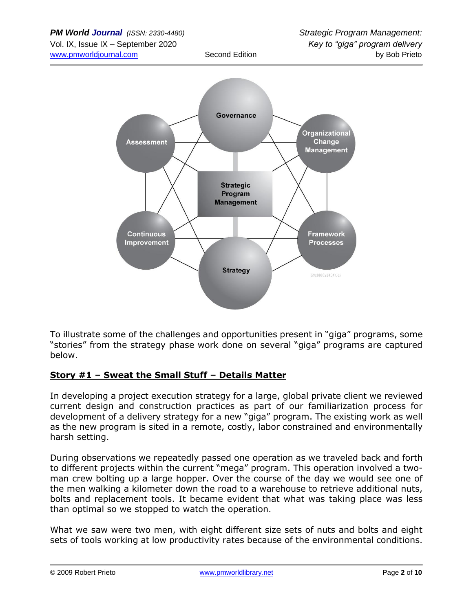

To illustrate some of the challenges and opportunities present in "giga" programs, some "stories" from the strategy phase work done on several "giga" programs are captured below.

## **Story #1 – Sweat the Small Stuff – Details Matter**

In developing a project execution strategy for a large, global private client we reviewed current design and construction practices as part of our familiarization process for development of a delivery strategy for a new "giga" program. The existing work as well as the new program is sited in a remote, costly, labor constrained and environmentally harsh setting.

During observations we repeatedly passed one operation as we traveled back and forth to different projects within the current "mega" program. This operation involved a twoman crew bolting up a large hopper. Over the course of the day we would see one of the men walking a kilometer down the road to a warehouse to retrieve additional nuts, bolts and replacement tools. It became evident that what was taking place was less than optimal so we stopped to watch the operation.

What we saw were two men, with eight different size sets of nuts and bolts and eight sets of tools working at low productivity rates because of the environmental conditions.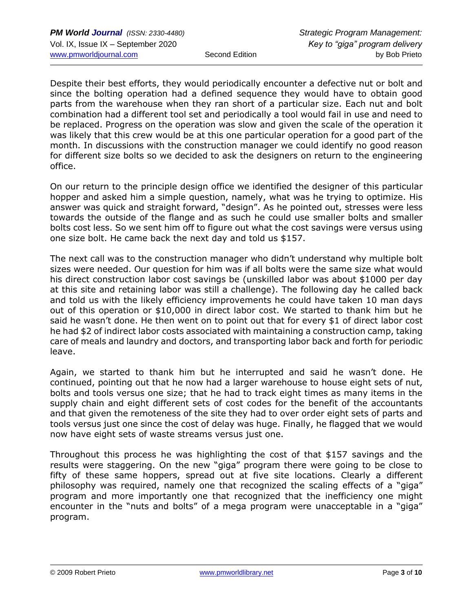Despite their best efforts, they would periodically encounter a defective nut or bolt and since the bolting operation had a defined sequence they would have to obtain good parts from the warehouse when they ran short of a particular size. Each nut and bolt combination had a different tool set and periodically a tool would fail in use and need to be replaced. Progress on the operation was slow and given the scale of the operation it was likely that this crew would be at this one particular operation for a good part of the month. In discussions with the construction manager we could identify no good reason for different size bolts so we decided to ask the designers on return to the engineering office.

On our return to the principle design office we identified the designer of this particular hopper and asked him a simple question, namely, what was he trying to optimize. His answer was quick and straight forward, "design". As he pointed out, stresses were less towards the outside of the flange and as such he could use smaller bolts and smaller bolts cost less. So we sent him off to figure out what the cost savings were versus using one size bolt. He came back the next day and told us \$157.

The next call was to the construction manager who didn't understand why multiple bolt sizes were needed. Our question for him was if all bolts were the same size what would his direct construction labor cost savings be (unskilled labor was about \$1000 per day at this site and retaining labor was still a challenge). The following day he called back and told us with the likely efficiency improvements he could have taken 10 man days out of this operation or \$10,000 in direct labor cost. We started to thank him but he said he wasn't done. He then went on to point out that for every \$1 of direct labor cost he had \$2 of indirect labor costs associated with maintaining a construction camp, taking care of meals and laundry and doctors, and transporting labor back and forth for periodic leave.

Again, we started to thank him but he interrupted and said he wasn't done. He continued, pointing out that he now had a larger warehouse to house eight sets of nut, bolts and tools versus one size; that he had to track eight times as many items in the supply chain and eight different sets of cost codes for the benefit of the accountants and that given the remoteness of the site they had to over order eight sets of parts and tools versus just one since the cost of delay was huge. Finally, he flagged that we would now have eight sets of waste streams versus just one.

Throughout this process he was highlighting the cost of that \$157 savings and the results were staggering. On the new "giga" program there were going to be close to fifty of these same hoppers, spread out at five site locations. Clearly a different philosophy was required, namely one that recognized the scaling effects of a "giga" program and more importantly one that recognized that the inefficiency one might encounter in the "nuts and bolts" of a mega program were unacceptable in a "giga" program.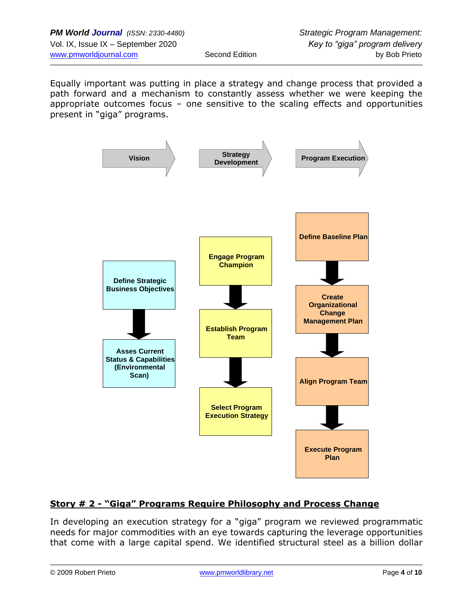Equally important was putting in place a strategy and change process that provided a path forward and a mechanism to constantly assess whether we were keeping the appropriate outcomes focus – one sensitive to the scaling effects and opportunities present in "giga" programs.



## **Story # 2 - "Giga" Programs Require Philosophy and Process Change**

In developing an execution strategy for a "giga" program we reviewed programmatic needs for major commodities with an eye towards capturing the leverage opportunities that come with a large capital spend. We identified structural steel as a billion dollar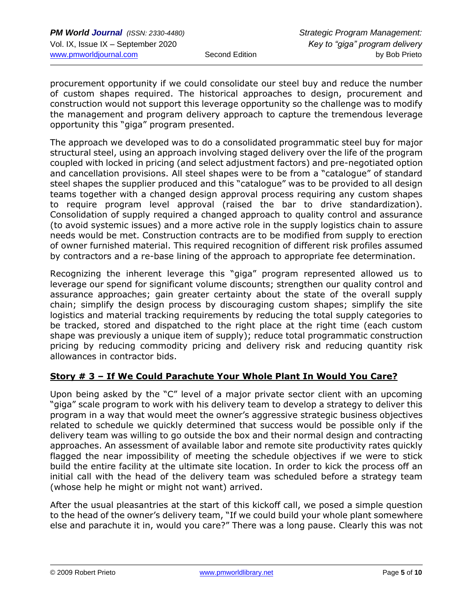procurement opportunity if we could consolidate our steel buy and reduce the number of custom shapes required. The historical approaches to design, procurement and construction would not support this leverage opportunity so the challenge was to modify the management and program delivery approach to capture the tremendous leverage opportunity this "giga" program presented.

The approach we developed was to do a consolidated programmatic steel buy for major structural steel, using an approach involving staged delivery over the life of the program coupled with locked in pricing (and select adjustment factors) and pre-negotiated option and cancellation provisions. All steel shapes were to be from a "catalogue" of standard steel shapes the supplier produced and this "catalogue" was to be provided to all design teams together with a changed design approval process requiring any custom shapes to require program level approval (raised the bar to drive standardization). Consolidation of supply required a changed approach to quality control and assurance (to avoid systemic issues) and a more active role in the supply logistics chain to assure needs would be met. Construction contracts are to be modified from supply to erection of owner furnished material. This required recognition of different risk profiles assumed by contractors and a re-base lining of the approach to appropriate fee determination.

Recognizing the inherent leverage this "giga" program represented allowed us to leverage our spend for significant volume discounts; strengthen our quality control and assurance approaches; gain greater certainty about the state of the overall supply chain; simplify the design process by discouraging custom shapes; simplify the site logistics and material tracking requirements by reducing the total supply categories to be tracked, stored and dispatched to the right place at the right time (each custom shape was previously a unique item of supply); reduce total programmatic construction pricing by reducing commodity pricing and delivery risk and reducing quantity risk allowances in contractor bids.

## **Story # 3 – If We Could Parachute Your Whole Plant In Would You Care?**

Upon being asked by the "C" level of a major private sector client with an upcoming "giga" scale program to work with his delivery team to develop a strategy to deliver this program in a way that would meet the owner's aggressive strategic business objectives related to schedule we quickly determined that success would be possible only if the delivery team was willing to go outside the box and their normal design and contracting approaches. An assessment of available labor and remote site productivity rates quickly flagged the near impossibility of meeting the schedule objectives if we were to stick build the entire facility at the ultimate site location. In order to kick the process off an initial call with the head of the delivery team was scheduled before a strategy team (whose help he might or might not want) arrived.

After the usual pleasantries at the start of this kickoff call, we posed a simple question to the head of the owner's delivery team, "If we could build your whole plant somewhere else and parachute it in, would you care?" There was a long pause. Clearly this was not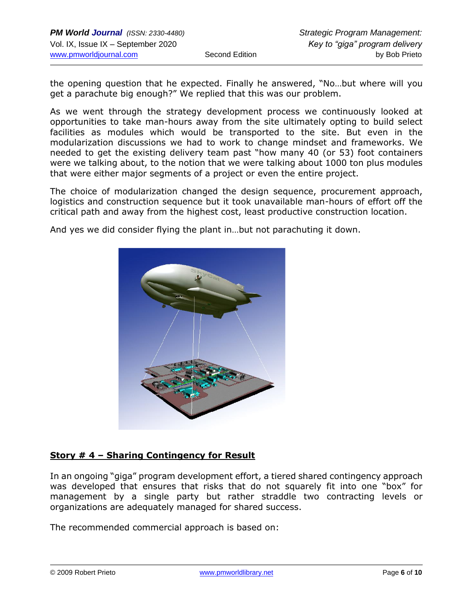the opening question that he expected. Finally he answered, "No…but where will you get a parachute big enough?" We replied that this was our problem.

As we went through the strategy development process we continuously looked at opportunities to take man-hours away from the site ultimately opting to build select facilities as modules which would be transported to the site. But even in the modularization discussions we had to work to change mindset and frameworks. We needed to get the existing delivery team past "how many 40 (or 53) foot containers were we talking about, to the notion that we were talking about 1000 ton plus modules that were either major segments of a project or even the entire project.

The choice of modularization changed the design sequence, procurement approach, logistics and construction sequence but it took unavailable man-hours of effort off the critical path and away from the highest cost, least productive construction location.

And yes we did consider flying the plant in…but not parachuting it down.



## **Story # 4 – Sharing Contingency for Result**

In an ongoing "giga" program development effort, a tiered shared contingency approach was developed that ensures that risks that do not squarely fit into one "box" for management by a single party but rather straddle two contracting levels or organizations are adequately managed for shared success.

The recommended commercial approach is based on: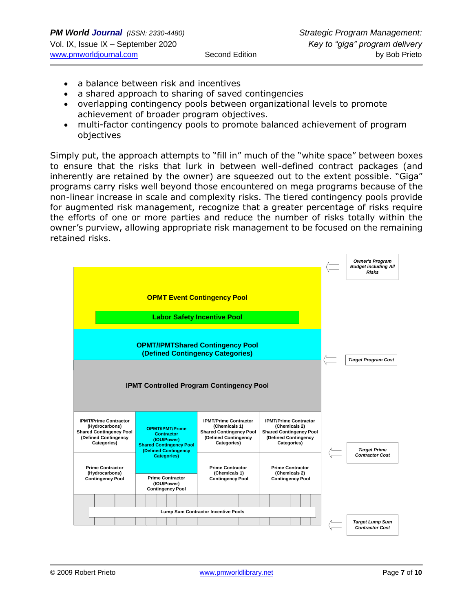- a balance between risk and incentives
- a shared approach to sharing of saved contingencies
- overlapping contingency pools between organizational levels to promote achievement of broader program objectives.
- multi-factor contingency pools to promote balanced achievement of program objectives

Simply put, the approach attempts to "fill in" much of the "white space" between boxes to ensure that the risks that lurk in between well-defined contract packages (and inherently are retained by the owner) are squeezed out to the extent possible. "Giga" programs carry risks well beyond those encountered on mega programs because of the non-linear increase in scale and complexity risks. The tiered contingency pools provide for augmented risk management, recognize that a greater percentage of risks require the efforts of one or more parties and reduce the number of risks totally within the owner's purview, allowing appropriate risk management to be focused on the remaining retained risks.

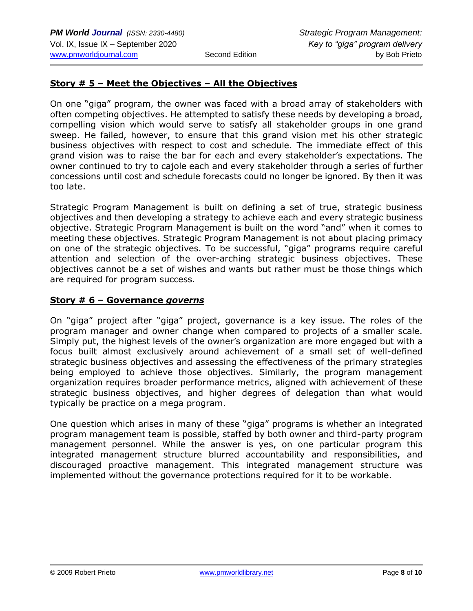### **Story # 5 – Meet the Objectives – All the Objectives**

On one "giga" program, the owner was faced with a broad array of stakeholders with often competing objectives. He attempted to satisfy these needs by developing a broad, compelling vision which would serve to satisfy all stakeholder groups in one grand sweep. He failed, however, to ensure that this grand vision met his other strategic business objectives with respect to cost and schedule. The immediate effect of this grand vision was to raise the bar for each and every stakeholder's expectations. The owner continued to try to cajole each and every stakeholder through a series of further concessions until cost and schedule forecasts could no longer be ignored. By then it was too late.

Strategic Program Management is built on defining a set of true, strategic business objectives and then developing a strategy to achieve each and every strategic business objective. Strategic Program Management is built on the word "and" when it comes to meeting these objectives. Strategic Program Management is not about placing primacy on one of the strategic objectives. To be successful, "giga" programs require careful attention and selection of the over-arching strategic business objectives. These objectives cannot be a set of wishes and wants but rather must be those things which are required for program success.

### **Story # 6 – Governance** *governs*

On "giga" project after "giga" project, governance is a key issue. The roles of the program manager and owner change when compared to projects of a smaller scale. Simply put, the highest levels of the owner's organization are more engaged but with a focus built almost exclusively around achievement of a small set of well-defined strategic business objectives and assessing the effectiveness of the primary strategies being employed to achieve those objectives. Similarly, the program management organization requires broader performance metrics, aligned with achievement of these strategic business objectives, and higher degrees of delegation than what would typically be practice on a mega program.

One question which arises in many of these "giga" programs is whether an integrated program management team is possible, staffed by both owner and third-party program management personnel. While the answer is yes, on one particular program this integrated management structure blurred accountability and responsibilities, and discouraged proactive management. This integrated management structure was implemented without the governance protections required for it to be workable.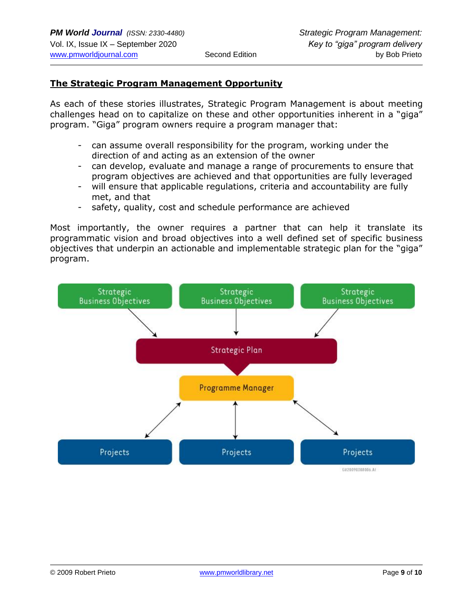### **The Strategic Program Management Opportunity**

As each of these stories illustrates, Strategic Program Management is about meeting challenges head on to capitalize on these and other opportunities inherent in a "giga" program. "Giga" program owners require a program manager that:

- can assume overall responsibility for the program, working under the direction of and acting as an extension of the owner
- can develop, evaluate and manage a range of procurements to ensure that program objectives are achieved and that opportunities are fully leveraged
- will ensure that applicable regulations, criteria and accountability are fully met, and that
- safety, quality, cost and schedule performance are achieved

Most importantly, the owner requires a partner that can help it translate its programmatic vision and broad objectives into a well defined set of specific business objectives that underpin an actionable and implementable strategic plan for the "giga" program.